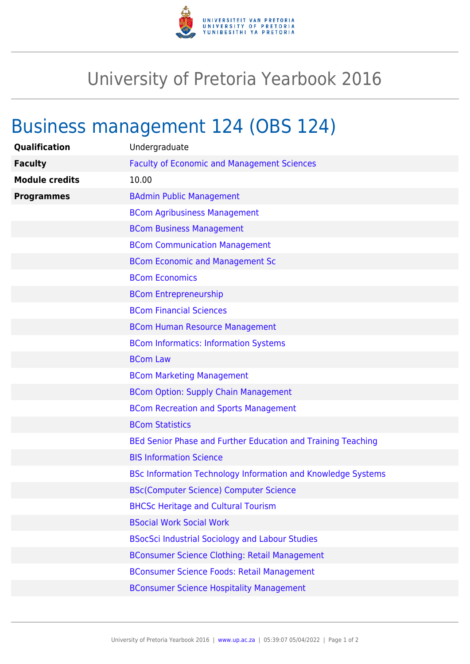

## University of Pretoria Yearbook 2016

## Business management 124 (OBS 124)

| Qualification         | Undergraduate                                                       |
|-----------------------|---------------------------------------------------------------------|
| <b>Faculty</b>        | <b>Faculty of Economic and Management Sciences</b>                  |
| <b>Module credits</b> | 10.00                                                               |
| <b>Programmes</b>     | <b>BAdmin Public Management</b>                                     |
|                       | <b>BCom Agribusiness Management</b>                                 |
|                       | <b>BCom Business Management</b>                                     |
|                       | <b>BCom Communication Management</b>                                |
|                       | <b>BCom Economic and Management Sc</b>                              |
|                       | <b>BCom Economics</b>                                               |
|                       | <b>BCom Entrepreneurship</b>                                        |
|                       | <b>BCom Financial Sciences</b>                                      |
|                       | <b>BCom Human Resource Management</b>                               |
|                       | <b>BCom Informatics: Information Systems</b>                        |
|                       | <b>BCom Law</b>                                                     |
|                       | <b>BCom Marketing Management</b>                                    |
|                       | <b>BCom Option: Supply Chain Management</b>                         |
|                       | <b>BCom Recreation and Sports Management</b>                        |
|                       | <b>BCom Statistics</b>                                              |
|                       | BEd Senior Phase and Further Education and Training Teaching        |
|                       | <b>BIS Information Science</b>                                      |
|                       | <b>BSc Information Technology Information and Knowledge Systems</b> |
|                       | <b>BSc(Computer Science) Computer Science</b>                       |
|                       | <b>BHCSc Heritage and Cultural Tourism</b>                          |
|                       | <b>BSocial Work Social Work</b>                                     |
|                       | <b>BSocSci Industrial Sociology and Labour Studies</b>              |
|                       | <b>BConsumer Science Clothing: Retail Management</b>                |
|                       | <b>BConsumer Science Foods: Retail Management</b>                   |
|                       | <b>BConsumer Science Hospitality Management</b>                     |
|                       |                                                                     |